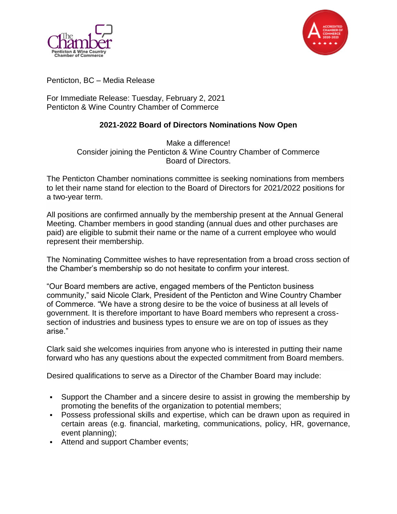



Penticton, BC – Media Release

For Immediate Release: Tuesday, February 2, 2021 Penticton & Wine Country Chamber of Commerce

## **2021-2022 Board of Directors Nominations Now Open**

Make a difference! Consider joining the Penticton & Wine Country Chamber of Commerce Board of Directors.

The Penticton Chamber nominations committee is seeking nominations from members to let their name stand for election to the Board of Directors for 2021/2022 positions for a two-year term.

All positions are confirmed annually by the membership present at the Annual General Meeting. Chamber members in good standing (annual dues and other purchases are paid) are eligible to submit their name or the name of a current employee who would represent their membership.

The Nominating Committee wishes to have representation from a broad cross section of the Chamber's membership so do not hesitate to confirm your interest.

"Our Board members are active, engaged members of the Penticton business community," said Nicole Clark, President of the Penticton and Wine Country Chamber of Commerce. "We have a strong desire to be the voice of business at all levels of government. It is therefore important to have Board members who represent a crosssection of industries and business types to ensure we are on top of issues as they arise."

Clark said she welcomes inquiries from anyone who is interested in putting their name forward who has any questions about the expected commitment from Board members.

Desired qualifications to serve as a Director of the Chamber Board may include:

- Support the Chamber and a sincere desire to assist in growing the membership by promoting the benefits of the organization to potential members;
- Possess professional skills and expertise, which can be drawn upon as required in certain areas (e.g. financial, marketing, communications, policy, HR, governance, event planning);
- Attend and support Chamber events;